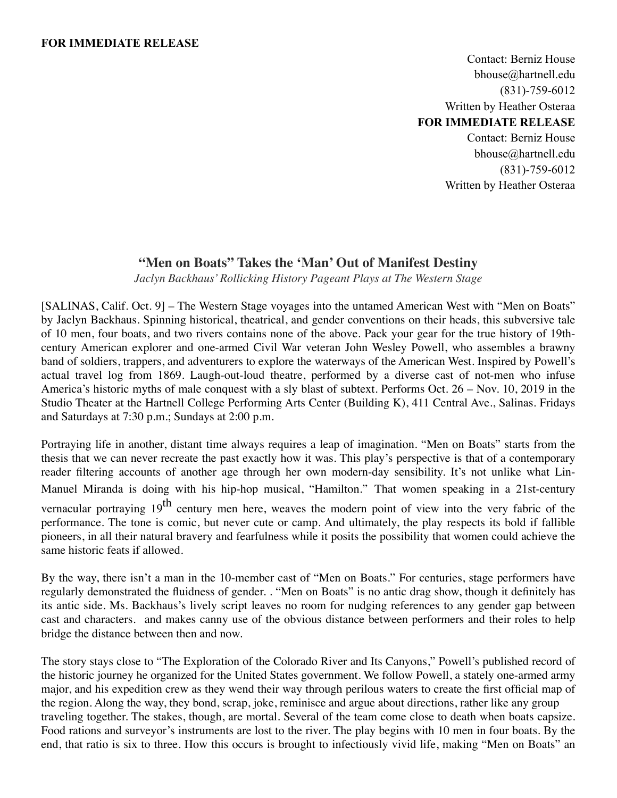### **FOR IMMEDIATE RELEASE**

Contact: Berniz House bhouse@hartnell.edu (831)-759-6012 Written by Heather Osteraa **FOR IMMEDIATE RELEASE** Contact: Berniz House bhouse@hartnell.edu (831)-759-6012 Written by Heather Osteraa

# **"Men on Boats" Takes the 'Man' Out of Manifest Destiny**

*Jaclyn Backhaus' Rollicking History Pageant Plays at The Western Stage*

[SALINAS, Calif. Oct. 9] – The Western Stage voyages into the untamed American West with "Men on Boats" by Jaclyn Backhaus. Spinning historical, theatrical, and gender conventions on their heads, this subversive tale of 10 men, four boats, and two rivers contains none of the above. Pack your gear for the true history of 19thcentury American explorer and one-armed Civil War veteran John Wesley Powell, who assembles a brawny band of soldiers, trappers, and adventurers to explore the waterways of the American West. Inspired by Powell's actual travel log from 1869. Laugh-out-loud theatre, performed by a diverse cast of not-men who infuse America's historic myths of male conquest with a sly blast of subtext. Performs Oct. 26 – Nov. 10, 2019 in the Studio Theater at the Hartnell College Performing Arts Center (Building K), 411 Central Ave., Salinas. Fridays and Saturdays at 7:30 p.m.; Sundays at 2:00 p.m.

Portraying life in another, distant time always requires a leap of imagination. "Men on Boats" starts from the thesis that we can never recreate the past exactly how it was. This play's perspective is that of a contemporary reader filtering accounts of another age through her own modern-day sensibility. It's not unlike what Lin-Manuel Miranda is doing with his hip-hop musical, "Hamilton." That women speaking in a 21st-century vernacular portraying  $19<sup>th</sup>$  century men here, weaves the modern point of view into the very fabric of the performance. The tone is comic, but never cute or camp. And ultimately, the play respects its bold if fallible pioneers, in all their natural bravery and fearfulness while it posits the possibility that women could achieve the same historic feats if allowed.

By the way, there isn't a man in the 10-member cast of "Men on Boats." For centuries, stage performers have regularly demonstrated the fluidness of gender. . "Men on Boats" is no antic drag show, though it definitely has its antic side. Ms. Backhaus's lively script leaves no room for nudging references to any gender gap between cast and characters. and makes canny use of the obvious distance between performers and their roles to help bridge the distance between then and now.

The story stays close to "The Exploration of the Colorado River and Its Canyons," Powell's published record of the historic journey he organized for the United States government. We follow Powell, a stately one-armed army major, and his expedition crew as they wend their way through perilous waters to create the first official map of the region. Along the way, they bond, scrap, joke, reminisce and argue about directions, rather like any group traveling together. The stakes, though, are mortal. Several of the team come close to death when boats capsize. Food rations and surveyor's instruments are lost to the river. The play begins with 10 men in four boats. By the end, that ratio is six to three. How this occurs is brought to infectiously vivid life, making "Men on Boats" an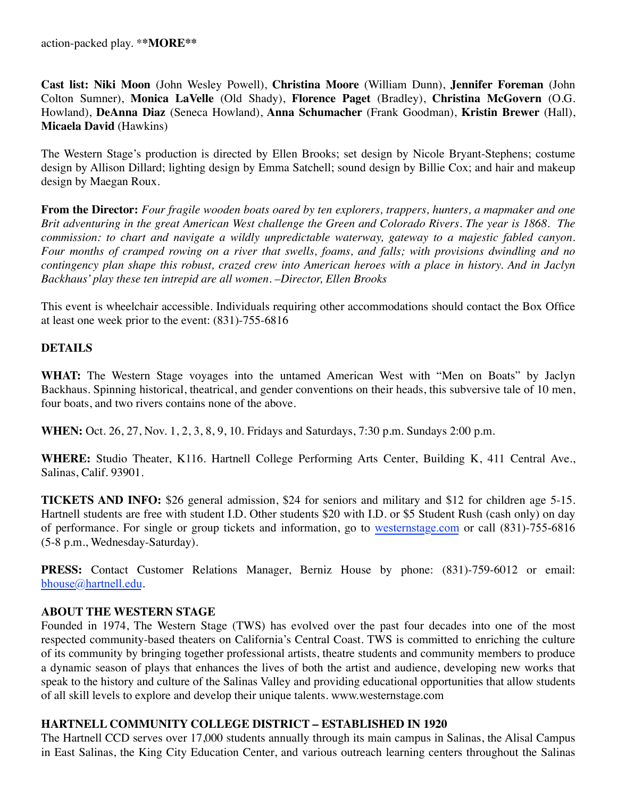**Cast list: Niki Moon** (John Wesley Powell), **Christina Moore** (William Dunn), **Jennifer Foreman** (John Colton Sumner), **Monica LaVelle** (Old Shady), **Florence Paget** (Bradley), **Christina McGovern** (O.G. Howland), **DeAnna Diaz** (Seneca Howland), **Anna Schumacher** (Frank Goodman), **Kristin Brewer** (Hall), **Micaela David** (Hawkins)

The Western Stage's production is directed by Ellen Brooks; set design by Nicole Bryant-Stephens; costume design by Allison Dillard; lighting design by Emma Satchell; sound design by Billie Cox; and hair and makeup design by Maegan Roux.

**From the Director:** *Four fragile wooden boats oared by ten explorers, trappers, hunters, a mapmaker and one Brit adventuring in the great American West challenge the Green and Colorado Rivers. The year is 1868. The commission: to chart and navigate a wildly unpredictable waterway, gateway to a majestic fabled canyon. Four months of cramped rowing on a river that swells, foams, and falls; with provisions dwindling and no contingency plan shape this robust, crazed crew into American heroes with a place in history. And in Jaclyn Backhaus' play these ten intrepid are all women. –Director, Ellen Brooks*

This event is wheelchair accessible. Individuals requiring other accommodations should contact the Box Office at least one week prior to the event: (831)-755-6816

# **DETAILS**

**WHAT:** The Western Stage voyages into the untamed American West with "Men on Boats" by Jaclyn Backhaus. Spinning historical, theatrical, and gender conventions on their heads, this subversive tale of 10 men, four boats, and two rivers contains none of the above.

**WHEN:** Oct. 26, 27, Nov. 1, 2, 3, 8, 9, 10. Fridays and Saturdays, 7:30 p.m. Sundays 2:00 p.m.

**WHERE:** Studio Theater, K116. Hartnell College Performing Arts Center, Building K, 411 Central Ave., Salinas, Calif. 93901.

**TICKETS AND INFO:** \$26 general admission, \$24 for seniors and military and \$12 for children age 5-15. Hartnell students are free with student I.D. Other students \$20 with I.D. or \$5 Student Rush (cash only) on day of performance. For single or group tickets and information, go to westernstage.com or call (831)-755-6816 (5-8 p.m., Wednesday-Saturday).

**PRESS:** Contact Customer Relations Manager, Berniz House by phone: (831)-759-6012 or email: bhouse@hartnell.edu.

# **ABOUT THE WESTERN STAGE**

Founded in 1974, The Western Stage (TWS) has evolved over the past four decades into one of the most respected community-based theaters on California's Central Coast. TWS is committed to enriching the culture of its community by bringing together professional artists, theatre students and community members to produce a dynamic season of plays that enhances the lives of both the artist and audience, developing new works that speak to the history and culture of the Salinas Valley and providing educational opportunities that allow students of all skill levels to explore and develop their unique talents. www.westernstage.com

# **HARTNELL COMMUNITY COLLEGE DISTRICT – ESTABLISHED IN 1920**

The Hartnell CCD serves over 17,000 students annually through its main campus in Salinas, the Alisal Campus in East Salinas, the King City Education Center, and various outreach learning centers throughout the Salinas